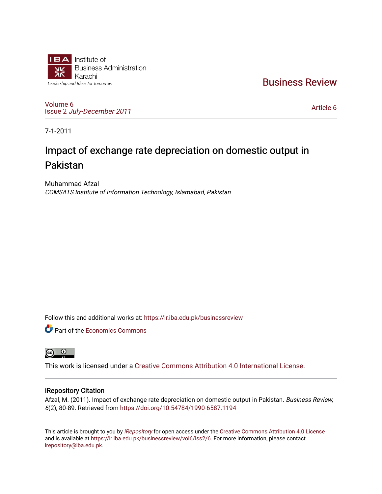

[Business Review](https://ir.iba.edu.pk/businessreview) 

[Volume 6](https://ir.iba.edu.pk/businessreview/vol6) Issue 2 [July-December 2011](https://ir.iba.edu.pk/businessreview/vol6/iss2)

[Article 6](https://ir.iba.edu.pk/businessreview/vol6/iss2/6) 

7-1-2011

# Impact of exchange rate depreciation on domestic output in Pakistan

Muhammad Afzal COMSATS Institute of Information Technology, Islamabad, Pakistan

Follow this and additional works at: [https://ir.iba.edu.pk/businessreview](https://ir.iba.edu.pk/businessreview?utm_source=ir.iba.edu.pk%2Fbusinessreview%2Fvol6%2Fiss2%2F6&utm_medium=PDF&utm_campaign=PDFCoverPages) 

Part of the [Economics Commons](http://network.bepress.com/hgg/discipline/340?utm_source=ir.iba.edu.pk%2Fbusinessreview%2Fvol6%2Fiss2%2F6&utm_medium=PDF&utm_campaign=PDFCoverPages)



This work is licensed under a [Creative Commons Attribution 4.0 International License](https://creativecommons.org/licenses/by/4.0/).

# iRepository Citation

Afzal, M. (2011). Impact of exchange rate depreciation on domestic output in Pakistan. Business Review, 6(2), 80-89. Retrieved from <https://doi.org/10.54784/1990-6587.1194>

This article is brought to you by [iRepository](https://ir.iba.edu.pk/) for open access under the Creative Commons Attribution 4.0 License and is available at [https://ir.iba.edu.pk/businessreview/vol6/iss2/6.](https://ir.iba.edu.pk/businessreview/vol6/iss2/6) For more information, please contact [irepository@iba.edu.pk.](mailto:irepository@iba.edu.pk)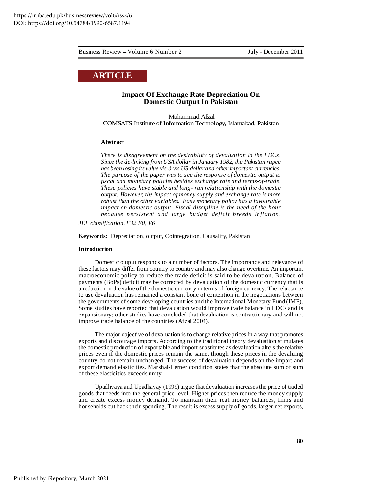# **ARTICLE**

## **Impact Of Exchange Rate Depreciation On Domestic Output In Pakistan**

Muhammad Afzal COMSATS Institute of Information Technology, Islamabad, Pakistan

#### **Abstract**

*There is disagreement on the desirability of devaluation in the LDCs. Since the de-linking from USA dollar in January 1982, the Pakistan rupee has been losing its value vis-à-vis US dollar and other important currencies. The purpose of the paper was to see the response of domestic output to fiscal and monetary policies besides exchange rate and terms-of-trade. These policies have stable and long- run relationship with the domestic output. However, the impact of money supply and exchange rate is more robust than the other variables. Easy monetary policy has a favourable impact on domestic output. Fiscal discipline is the need of the hour because persistent and large budget deficit breeds inflation.*

*JEL classification, F32 E0, E6*

**Keywords:** Depreciation, output, Cointegration, Causality, Pakistan

#### **Introduction**

Domestic output responds to a number of factors. The importance and relevance of these factors may differ from country to country and may also change overtime. An important macroeconomic policy to reduce the trade deficit is said to be devaluation. Balance of payments (BoPs) deficit may be corrected by devaluation of the domestic currency that is a reduction in the value of the domestic currency in terms of foreign currency. The reluctance to use devaluation has remained a constant bone of contention in the negotiations between the governments of some developing countries and the International Monetary Fund (IMF). Some studies have reported that devaluation would improve trade balance in LDCs and is expansionary; other studies have concluded that devaluation is contractionary and will not improve trade balance of the countries (Afzal 2004).

The major objective of devaluation is to change relative prices in a way that promotes exports and discourage imports. According to the traditional theory devaluation stimulates the domestic production of exportable and import substitutes as devaluation alters the relative prices even if the domestic prices remain the same, though these prices in the devaluing country do not remain unchanged. The success of devaluation depends on the import and export demand elasticities. Marshal-Lerner condition states that the absolute sum of sum of these elasticities exceeds unity.

Upadhyaya and Upadhayay (1999) argue that devaluation increases the price of traded goods that feeds into the general price level. Higher prices then reduce the money supply and create excess money demand. To maintain their real money balances, firms and households cut back their spending. The result is excess supply of goods, larger net exports,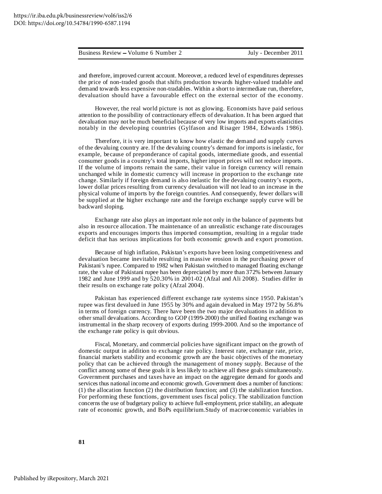and therefore, improved current account. Moreover, a reduced level of expenditures depresses the price of non-traded goods that shifts production towards higher-valued tradable and demand towards less expensive non-tradables. Within a short to intermediate run, therefore, devaluation should have a favourable effect on the external sector of the economy.

However, the real world picture is not as glowing. Economists have paid serious attention to the possibility of contractionary effects of devaluation. It has been argued that devaluation may not be much beneficial because of very low imports and exports elasticities notably in the developing countries (Gylfason and Risager 1984, Edwards 1986).

Therefore, it is very important to know how elastic the demand and supply curves of the devaluing country are. If the devaluing country's demand for imports is inelastic, for example, because of preponderance of capital goods, intermediate goods, and essential consumer goods in a country's total imports, higher import prices will not reduce imports. If the volume of imports remain the same, their value in foreign currency will remain unchanged while in domestic currency will increase in proportion to the exchange rate change. Similarly if foreign demand is also inelastic for the devaluing country's exports, lower dollar prices resulting from currency devaluation will not lead to an increase in the physical volume of imports by the foreign countries. And consequently, fewer dollars will be supplied at the higher exchange rate and the foreign exchange supply curve will be backward sloping.

Exchange rate also plays an important role not only in the balance of payments but also in resource allocation. The maintenance of an unrealistic exchange rate discourages exports and encourages imports thus imported consumption, resulting in a regular trade deficit that has serious implications for both economic growth and export promotion.

Because of high inflation, Pakistan's exports have been losing competitiveness and devaluation became inevitable resulting in massive erosion in the purchasing power of Pakistani's rupee. Compared to 1982 when Pakistan switched to managed floating exchange rate, the value of Pakistani rupee has been depreciated by more than 372% between January 1982 and June 1999 and by 520.30% in 2001-02 (Afzal and Ali 2008). Studies differ in their results on exchange rate policy (Afzal 2004).

Pakistan has experienced different exchange rate systems since 1950. Pakistan's rupee was first devalued in June 1955 by 30% and again devalued in May 1972 by 56.8% in terms of foreign currency. There have been the two major devaluations in addition to other small devaluations. According to GOP (1999-2000) the unified floating exchange was instrumental in the sharp recovery of exports during 1999-2000. And so the importance of the exchange rate policy is quit obvious.

Fiscal, Monetary, and commercial policies have significant impact on the growth of domestic output in addition to exchange rate policy. Interest rate, exchange rate, price, financial markets stability and economic growth are the basic objectives of the monetary policy that can be achieved through the management of money supply. Because of the conflict among some of these goals it is less likely to achieve all these goals simultaneously. Government purchases and taxes have an impact on the aggregate demand for goods and services thus national income and economic growth. Government does a number of functions: (1) the allocation function (2) the distribution function; and (3) the stabilization function. For performing these functions, government uses fiscal policy. The stabilization function concerns the use of budgetary policy to achieve full-employment, price stability, an adequate rate of economic growth, and BoPs equilibrium.Study of macroeconomic variables in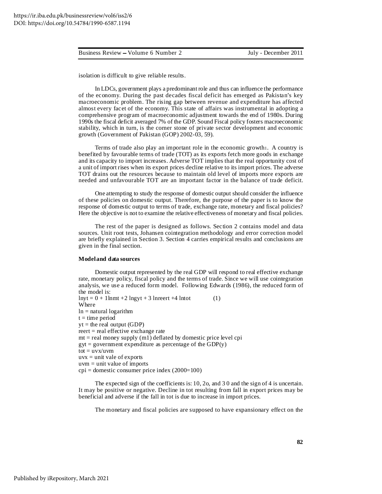isolation is difficult to give reliable results.

In LDCs, government plays a predominant role and thus can influence the performance of the economy. During the past decades fiscal deficit has emerged as Pakistan's key macroeconomic problem. The rising gap between revenue and expenditure has affected almost every facet of the economy. This state of affairs was instrumental in adopting a comprehensive program of macroeconomic adjustment towards the end of 1980s. During 1990s the fiscal deficit averaged 7% of the GDP. Sound Fiscal policy fosters macroeconomic stability, which in turn, is the corner stone of private sector development and economic growth (Government of Pakistan (GOP) 2002-03, 59).

Terms of trade also play an important role in the economic growth1. A country is benefited by favourable terms of trade (TOT) as its exports fetch more goods in exchange and its capacity to import increases. Adverse TOT implies that the real opportunity cost of a unit of import rises when its export prices decline relative to its import prices. The adverse TOT drains out the resources because to maintain old level of imports more exports are needed and unfavourable TOT are an important factor in the balance of trade deficit.

One attempting to study the response of domestic output should consider the influence of these policies on domestic output. Therefore, the purpose of the paper is to know the response of domestic output to terms of trade, exchange rate, monetary and fiscal policies? Here the objective is not to examine the relative effectiveness of monetary and fiscal policies.

The rest of the paper is designed as follows. Section 2 contains model and data sources. Unit root tests, Johansen cointegration methodology and error correction model are briefly explained in Section 3. Section 4 carries empirical results and conclusions are given in the final section.

#### **Modeland data sources**

Domestic output represented by the real GDP will respond to real effective exchange rate, monetary policy, fiscal policy and the terms of trade. Since we will use cointegration analysis, we use a reduced form model. Following Edwards (1986), the reduced form of the model is:  $lnyt = 0 + 1lnmt + 2 lnyyt + 3 lnreert + 4 lntot$  (1) Where  $ln =$ natural logarithm  $t =$  time period  $yt =$  the real output (GDP) reert = real effective exchange rate  $mt = real money supply (m1) defined by domestic price level cpi$  $gyt = government$  expenditure as percentage of the GDP(y)  $tot = uvx/uvm$  $uvx = unit value of$  exports  $uvm = unit value of$  imports  $cpi =$  domestic consumer price index (2000=100)

The expected sign of the coefficients is: 10, 2o, and 3 0 and the sign of 4 is uncertain. It may be positive or negative. Decline in tot resulting from fall in export prices may be beneficial and adverse if the fall in tot is due to increase in import prices.

The monetary and fiscal policies are supposed to have expansionary effect on the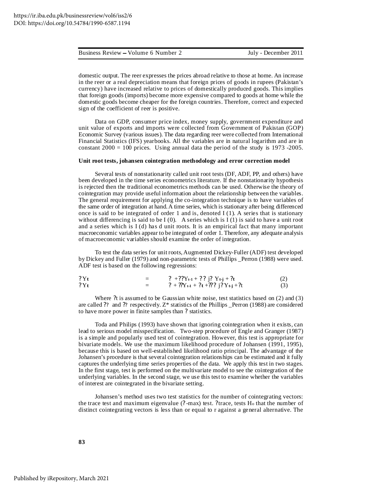|  | Business Review – Volume 6 Number 2 | July - December 2011 |
|--|-------------------------------------|----------------------|
|--|-------------------------------------|----------------------|

domestic output. The reer expresses the prices abroad relative to those at home. An increase in the reer or a real depreciation means that foreign prices of goods in rupees (Pakistan's currency) have increased relative to prices of domestically produced goods. This implies that foreign goods (imports) become more expensive compared to goods at home while the domestic goods become cheaper for the foreign countries. Therefore, correct and expected sign of the coefficient of reer is positive.

Data on GDP, consumer price index, money supply, government expenditure and unit value of exports and imports were collected from Government of Pakistan (GOP) Economic Survey (various issues). The data regarding reer were collected from International Financial Statistics (IFS) yearbooks. All the variables are in natural logarithm and are in constant  $2000 = 100$  prices. Using annual data the period of the study is 1973 -2005.

#### **Unit root tests, johansen cointegration methodology and error correction model**

Several tests of nonstationarity called unit root tests (DF, ADF, PP, and others) have been developed in the time series econometrics literature. If the nonstationarity hypothesis is rejected then the traditional econometrics methods can be used. Otherwise the theory of cointegration may provide useful information about the relationship between the variables. The general requirement for applying the co-integration technique is to have variables of the same order of integration at hand.A time series, which is stationary after being differenced once is said to be integrated of order 1 and is, denoted  $I(1)$ . A series that is stationary without differencing is said to be I  $(0)$ . A series which is I  $(1)$  is said to have a unit root and a series which is I (d) has d unit roots. It is an empirical fact that many important macroeconomic variables appear to be integrated of order 1. Therefore, any adequate analysis of macroeconomic variables should examine the order of integration.

To test the data series for unit roots,Augmented Dickey-Fuller (ADF) test developed by Dickey and Fuller (1979) and non-parametric tests of Phillips \_Perron (1988) were used. ADF test is based on the following regressions:

| ? Yt | ? +?? $Y_{t-1}$ + ?? $i$ ? $Y_{t-j}$ + ?t |     |
|------|-------------------------------------------|-----|
| ? Yt | $? + ?Y_{t-1} + ?t + ??$ $j?Y_{t-j} + ?t$ | (3) |

Where ?t is assumed to be Gaussian white noise, test statistics based on (2) and (3) are called ?? and ?? respectively. Z\* statistics of the Phillips \_Perron (1988) are considered to have more power in finite samples than ? statistics.

Toda and Philips (1993) have shown that ignoring cointegration when it exists, can lead to serious model misspecification. Two-step procedure of Engle and Granger (1987) is a simple and popularly used test of cointegration. However, this test is appropriate for bivariate models. We use the maximum likelihood procedure of Johansen (1991, 1995), because this is based on well-established likelihood ratio principal. The advantage of the Johansen's procedure is that several cointegration relationships can be estimated and it fully captures the underlying time series properties of the data. We apply this test in two stages. In the first stage, test is performed on the multivariate model to see the cointegration of the underlying variables. In the second stage, we use this test to examine whether the variables of interest are cointegrated in the bivariate setting.

Johansen's method uses two test statistics for the number of cointegrating vectors: the trace test and maximum eigenvalue (? -max) test. ?trace, tests H<sup>o</sup> that the number of distinct cointegrating vectors is less than or equal to r against a general alternative. The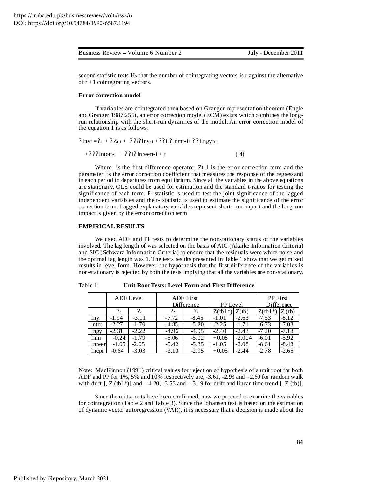| Business Review – Volume 6 Number 2 | July - December 2011 |
|-------------------------------------|----------------------|
|                                     |                      |

second statistic tests H<sup>o</sup> that the number of cointegrating vectors is r against the alternative of  $r + 1$  cointegrating vectors.

#### **Error correction model**

If variables are cointegrated then based on Granger representation theorem (Engle and Granger 1987:255), an error correction model (ECM) exists which combines the longrun relationship with the short-run dynamics of the model. An error correction model of the equation 1 is as follows:

? 
$$
\ln y t = ?_1 + ? Z_{t-1} + ? ?_1 ? \ln y_{t-1} + ? ?_1 ? \ln m t_{-1} + ? ? \ln g y_{t-1}
$$

 $+? ??$  lntott-i  $+ ? ?$  i? lnreert-i + t (4)

Where is the first difference operator, Zt-1 is the error correction term and the parameter is the error correction coefficient that measures the response of the regressand in each period to departures from equilibrium. Since all the variables in the above equations are stationary, OLS could be used for estimation and the standard t-ratios for testing the significance of each term. F- statistic is used to test the joint significance of the lagged independent variables and the t- statistic is used to estimate the significance of the error correction term. Lagged explanatory variables represent short- run impact and the long-run impact is given by the error correction term

## **EMPIRICAL RESULTS**

We used ADF and PP tests to determine the nonstationary status of the variables involved. The lag length of was selected on the basis of AIC (Akaike Information Criteria) and SIC (Schwarz Information Criteria) to ensure that the residuals were white noise and the optimal lag length was 1. The tests results presented in Table 1 show that we get mixed results in level form. However, the hypothesis that the first difference of the variables is non-stationary is rejected by both the tests implying that all the variables are non-stationary.

|        |                | <b>ADF</b> First<br>ADF Level<br>Difference |                 | <b>PP</b> Level  |            | PP First<br>Difference |            |         |
|--------|----------------|---------------------------------------------|-----------------|------------------|------------|------------------------|------------|---------|
|        | 2 <sub>2</sub> | $\mathfrak{p}_2$                            | $\mathcal{P}_2$ | $\mathfrak{p}_2$ | $Z$ (tb1*) | $Z$ (tb)               | $Z$ (tb1*) | Z(tb)   |
| lny    | $-1.94$        | $-3.11$                                     | $-7.72$         | $-8.45$          | -1.01      | $-2.63$                | $-7.53$    | $-8.12$ |
| lntot  | $-2.27$        | $-1.70$                                     | $-4.85$         | $-5.20$          | $-2.25$    | $-1.71$                | $-6.73$    | $-7.03$ |
| lngy   | $-2.31$        | $-2.22$                                     | $-4.96$         | $-4.95$          | $-2.40$    | $-2.43$                | $-7.20$    | $-7.18$ |
| lnm    | $-0.24$        | $-1.79$                                     | $-5.06$         | $-5.02$          | $+0.08$    | $-2.004$               | $-6.01$    | $-5.92$ |
| Inreer | $-1.05$        | $-2.05$                                     | $-5.42$         | $-5.35$          | $-1.05$    | $-2.08$                | $-8.61$    | $-8.48$ |
| Incpi  | $-0.64$        | $-3.03$                                     | $-3.10$         | $-2.95$          | $+0.05$    | -2.44                  | $-2.78$    | $-2.65$ |

Table 1: **Unit Root Tests: Level Form and First Difference**

Note: MacKinnon (1991) critical values for rejection of hypothesis of a unit root for both ADF and PP for 1%, 5% and 10% respectively are, -3.61, -2.93 and –2.60 for random walk with drift  $\left[$ ,  $Z$  (tb1\*)] and  $-4.20$ ,  $-3.53$  and  $-3.19$  for drift and linear time trend  $\left[$ ,  $Z$  (tb)].

Since the units roots have been confirmed, now we proceed to examine the variables for cointegration (Table 2 and Table 3). Since the Johansen test is based on the estimation of dynamic vector autoregression (VAR), it is necessary that a decision is made about the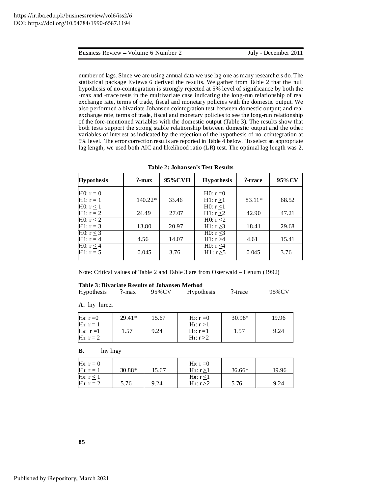number of lags. Since we are using annual data we use lag one as many researchers do. The statistical package Eviews 6 derived the results. We gather from Table 2 that the null hypothesis of no-cointegration is strongly rejected at 5% level of significance by both the -max and -trace tests in the multivariate case indicating the long-run relationship of real exchange rate, terms of trade, fiscal and monetary policies with the domestic output. We also performed a bivariate Johansen cointegration test between domestic output; and real exchange rate, terms of trade, fiscal and monetary policies to see the long-run relationship of the fore-mentioned variables with the domestic output (Table 3). The results show that both tests support the strong stable relationship between domestic output and the other variables of interest as indicated by the rejection of the hypothesis of no-cointegration at 5% level. The error correction results are reported in Table 4 below. To select an appropriate lag length, we used both AIC and likelihood ratio (LR) test. The optimal lag length was 2.

| <b>Hypothesis</b>         | $?$ -max  | 95%CVH | <b>Hypothesis</b> | ?-trace | 95% CV |
|---------------------------|-----------|--------|-------------------|---------|--------|
| $H0: r = 0$               |           |        | $H0: r=0$         |         |        |
| $H1: r = 1$               | $140.22*$ | 33.46  | H1: r > 1         | 83.11*  | 68.52  |
| $\overline{H0: r \leq 1}$ |           |        | H $0: r<1$        |         |        |
| $H1: r = 2$               | 24.49     | 27.07  | H1: r > 2         | 42.90   | 47.21  |
| HO: $r \leq 2$            |           |        | H0: $r \leq 2$    |         |        |
| $H1: r = 3$               | 13.80     | 20.97  | H1: $r \geq 3$    | 18.41   | 29.68  |
| H0: $r \leq 3$            |           |        | H0: $r < 3$       |         |        |
| $H1: r = 4$               | 4.56      | 14.07  | H1: r > 4         | 4.61    | 15.41  |
| H0: $r \leq 4$            |           |        | H $0: r < 4$      |         |        |
| $H1: r = 5$               | 0.045     | 3.76   | H1: r > 5         | 0.045   | 3.76   |

**Table 2: Johansen's Test Results**

Note: Critical values of Table 2 and Table 3 are from Osterwald – Lenum (1992)

#### **Table 3: Bivariate Results of Johansen Method**

| Hypothesis | $? - max$ | 95%CV | Hypothesis | ?-trace | 95%CV |
|------------|-----------|-------|------------|---------|-------|
|            |           |       |            |         |       |

**A.** lny lnreer

| Ho: $r=0$<br>$H_1: r = 1$             | $29.41*$ | 15.67 | H <sub>0</sub> : $r = 0$<br>$H_1: r > 1$ | 30.98* | 19.96 |
|---------------------------------------|----------|-------|------------------------------------------|--------|-------|
| Ho: $r=1$<br>H <sub>1</sub> : $r = 2$ | 57       | 9.24  | Ho: $r=1$<br>H <sub>1</sub> : $r > 2$    | 1.57   | 9.24  |

**B.** lny lngy

| $H_0: r = 0$             |          |       | Ho: $r = 0$              |          |       |
|--------------------------|----------|-------|--------------------------|----------|-------|
| $H1: r = 1$              | $30.88*$ | 15.67 | $H_1: r > 1$             | $36.66*$ | 19.96 |
| Ho: $r \leq 1$           |          |       | Ho: $r \leq 1$           |          |       |
| H <sub>1</sub> : $r = 2$ | 5.76     | 9.24  | H <sub>1</sub> : $r > 2$ | 5.76     | 9.24  |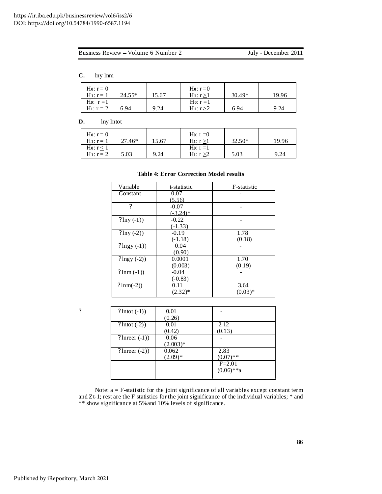|  | Business Review – Volume 6 Number 2 |
|--|-------------------------------------|
|  |                                     |

July - December 2011

**C.** lny lnm

| Ho: $r = 0$              |          |       | Ho: $r=0$                |          |      |
|--------------------------|----------|-------|--------------------------|----------|------|
| $H_1: r = 1$             | $24.55*$ | 15.67 | $H_1: r > 1$             | $30.49*$ | 9.96 |
| Ho: $r=1$                |          |       | Ho: $r=1$                |          |      |
| H <sub>1</sub> : $r = 2$ | 6.94     | 9.24  | H <sub>1</sub> : $r > 2$ | 6.94     | 9.24 |

# **D.** lny lntot

| Ho: $r = 0$<br>$H_1: r = 1$    | 27.46* | 5.67 | Ho: $r = 0$<br>$H_1: r > 1$             | 32.50* | 19.96 |
|--------------------------------|--------|------|-----------------------------------------|--------|-------|
| Ho: $r \leq 1$<br>$H_1: r = 2$ | 5.03   | 9.24 | Ho: $r = 1$<br>H <sub>1</sub> : $r > 2$ | 5.03   | 9.24  |

## **Table 4: Error Correction Model results**

| Variable            | t-statistic  | F-statistic |
|---------------------|--------------|-------------|
| Constant            | 0.07         |             |
|                     | (5.56)       |             |
| ?                   | $-0.07$      |             |
|                     | $(-3.24)$ *  |             |
| $? \ln y (-1))$     | $-0.22$      |             |
|                     | $(-1.33)$    |             |
| $? \ln y (-2))$     | $-0.19$      | 1.78        |
|                     | $(-1.18)$    | (0.18)      |
| $?$ lngy $(-1)$     | 0.04         |             |
|                     | (0.90)       |             |
| $?$ lngy $(-2)$ )   | 0.0001       | 1.70        |
|                     | (0.003)      | (0.19)      |
| $? \text{lnm} (-1)$ | $-0.04$      |             |
|                     | $(-0.83)$    |             |
| $? \text{lnm}(-2)$  | 0.11         | 3.64        |
|                     | $(2.32)^{*}$ | $(0.03)*$   |

| 9 | $?$ lntot $(-1)$    | 0.01       |              |
|---|---------------------|------------|--------------|
|   |                     | (0.26)     |              |
|   | $?$ lntot $(-2)$ )  | 0.01       | 2.12         |
|   |                     | (0.42)     | (0.13)       |
|   | $?$ lnreer $(-1)$ ) | 0.06       |              |
|   |                     | $(2.003)*$ |              |
|   | $?$ lnreer $(-2)$ ) | 0.062      | 2.83         |
|   |                     | $(2.09)*$  | $(0.07)$ **  |
|   |                     |            | $F = 2.01$   |
|   |                     |            | $(0.06)$ **a |
|   |                     |            |              |

Note: a = F-statistic for the joint significance of all variables except constant term and Zt-1; rest are the F statistics for the joint significance of the individual variables; \* and \*\* show significance at 5%and 10% levels of significance.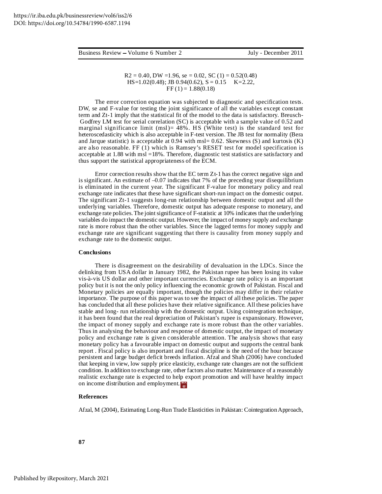$R2 = 0.40$ , DW =1.96, se = 0.02, SC (1) = 0.52(0.48) HS=1.02(0.48); JB 0.94(0.62), S = 0.15 K=2.22,  $FF(1) = 1.88(0.18)$ 

The error correction equation was subjected to diagnostic and specification tests. DW, se and F-value for testing the joint significance of all the variables except constant term and Zt-1 imply that the statistical fit of the model to the data is satisfactory. Breusch-Godfrey LM test for serial correlation (SC) is acceptable with a sample value of 0.52 and marginal significance limit (msl)=  $48\%$ . HS (White test) is the standard test for heteroscedasticity which is also acceptable in F-test version. The JB test for normality (Bera and Jarque statistic) is acceptable at 0.94 with msl= 0.62. Skewness (S) and kurtosis (K) are also reasonable. FF (1) which is Ramsey's RESET test for model specification is acceptable at 1.88 with msl =18%. Therefore, diagnostic test statistics are satisfactory and thus support the statistical appropriateness of the ECM.

Error correction results show that the EC term Zt-1 has the correct negative sign and is significant. An estimate of –0.07 indicates that 7% of the preceding year disequilibrium is eliminated in the current year. The significant F-value for monetary policy and real exchange rate indicates that these have significant short-run impact on the domestic output. The significant Zt-1 suggests long-run relationship between domestic output and all the underlying variables. Therefore, domestic output has adequate response to monetary, and exchange rate policies. The joint significance of F-statistic at 10% indicates that the underlying variables do impact the domestic output. However, the impact of money supply and exchange rate is more robust than the other variables. Since the lagged terms for money supply and exchange rate are significant suggesting that there is causality from money supply and exchange rate to the domestic output.

#### **Conclusions**

There is disagreement on the desirability of devaluation in the LDCs. Since the delinking from USA dollar in January 1982, the Pakistan rupee has been losing its value vis-à-vis US dollar and other important currencies. Exchange rate policy is an important policy but it is not the only policy influencing the economic growth of Pakistan. Fiscal and Monetary policies are equally important, though the policies may differ in their relative importance. The purpose of this paper was to see the impact of all these policies. The paper has concluded that all these policies have their relative significance. All these policies have stable and long- run relationship with the domestic output. Using cointegration technique, it has been found that the real depreciation of Pakistan's rupee is expansionary. However, the impact of money supply and exchange rate is more robust than the other variables. Thus in analysing the behaviour and response of domestic output, the impact of monetary policy and exchange rate is given considerable attention. The analysis shows that easy monetary policy has a favourable impact on domestic output and supports the central bank report . Fiscal policy is also important and fiscal discipline is the need of the hour because persistent and large budget deficit breeds inflation. Afzal and Shah (2006) have concluded that keeping in view, low supply price elasticity, exchange rate changes are not the sufficient condition. In addition to exchange rate, other factors also matter. Maintenance of a reasonably realistic exchange rate is expected to help export promotion and will have healthy impact on income distribution and employment.

#### **References**

Afzal, M (2004), Estimating Long-Run Trade Elasticities in Pakistan: CointegrationApproach,

**87**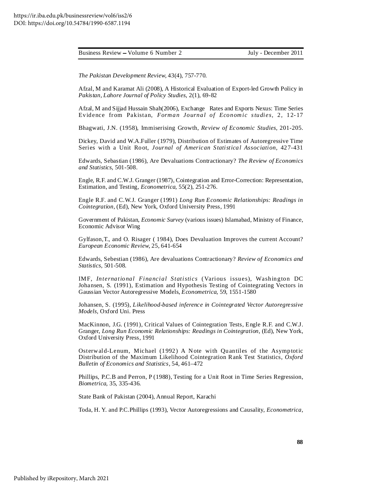*The Pakistan Development Review,* 43(4), 757-770.

Afzal, M and Karamat Ali (2008), A Historical Evaluation of Export-led Growth Policy in *Pakistan, Lahore Journal of Policy Studies*, 2(1), 69-82

Afzal, M and Sijjad Hussain Shah(2006), Exchange Rates and Exports Nexus: Time Series Evidence fr om Pakistan, *Forman Journal of Economic studies,* 2, 12- 17

Bhagwati, J.N. (1958), Immiserising Growth, *Review of Economic Studies,* 201-205.

Dickey, David and W.A.Fuller (1979), Distribution of Estimates of Autoregressive Time Series with a Unit Root, *Journal of American Statistical Association,* 427-431

Edwards, Sebastian (1986), Are Devaluations Contractionary? *The Review of Economics and Statistics,* 501-508.

Engle, R.F. and C.W.J. Granger (1987), Cointegration and Error-Correction: Representation, Estimation, and Testing, *Econometrica,* 55(2), 251-276.

Engle R.F. and C.W.J. Granger (1991) *Long Run Economic Relationships: Readings in Cointegration,* (Ed), New York, Oxford University Press, 1991

Government of Pakistan, *Economic Survey* (various issues) Islamabad, Ministry of Finance, Economic Advisor Wing

Gylfason,T., and O. Risager ( 1984), Does Devaluation Improves the current Account? *European Economic Review,* 25, 641-654

Edwards, Sebestian (1986), Are devaluations Contractionary? *Review of Economics and Statistics,* 501-508.

IMF, *International Financial Statistics* (Various issues), Washington DC Johansen, S. (1991), Estimation and Hypothesis Testing of Cointegrating Vectors in Gaussian Vector Autoregressive Models, *Econometrica,* 59, 1551-1580

Johansen, S. (1995), *Likelihood-based inference in Cointegrated Vector Autoregressive Models,* Oxford Uni. Press

MacKinnon, J.G. (1991), Critical Values of Cointegration Tests, Engle R.F. and C.W.J. Granger, *Long Run Economic Relationships: Readings in Cointegration,* (Ed), New York, Oxford University Press, 1991

Osterwald-Lenum, Michael (1992) A Note with Quantiles of the Asymptotic Distribution of the Maximum Likelihood Cointegration Rank Test Statistics, *Oxford Bulletin of Economics and Statistics,* 54, 461–472

Phillips, P.C.B and Perron, P (1988), Testing for a Unit Root in Time Series Regression, *Biometrica,* 35, 335-436.

State Bank of Pakistan (2004), Annual Report, Karachi

Toda, H. Y. and P.C.Phillips (1993), Vector Autoregressions and Causality, *Econometrica,*